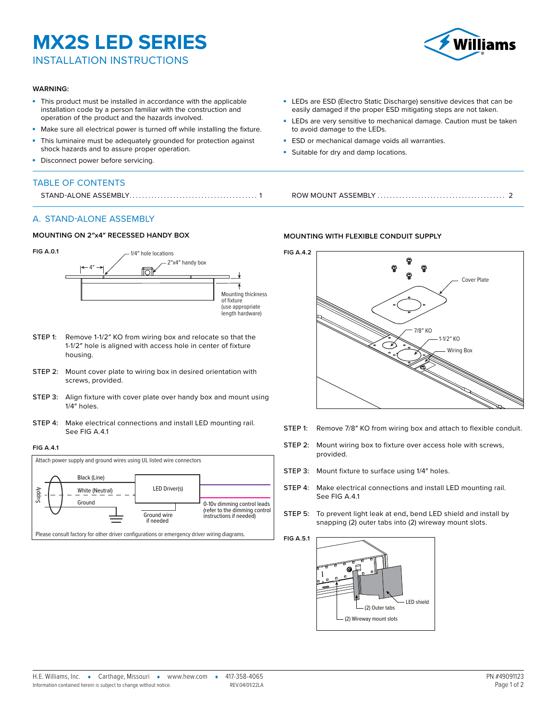### **MX2S LED SERIES**

INSTALLATION INSTRUCTIONS

#### **WARNING:**

- This product must be installed in accordance with the applicable installation code by a person familiar with the construction and operation of the product and the hazards involved.
- Make sure all electrical power is turned off while installing the fixture.
- This luminaire must be adequately grounded for protection against shock hazards and to assure proper operation.
- Disconnect power before servicing.

#### TABLE OF CONTENTS

#### A. STAND-ALONE ASSEMBLY

#### **MOUNTING ON 2″x4″ RECESSED HANDY BOX**



- <span id="page-0-1"></span>STEP 1: Remove 1-1/2" KO from wiring box and relocate so that the 1-1/2″ hole is aligned with access hole in center of fixture housing.
- STEP 2: Mount cover plate to wiring box in desired orientation with screws, provided.
- STEP 3: Align fixture with cover plate over handy box and mount using 1/4″ holes.
- STEP 4: Make electrical connections and install LED mounting rail. See [FIG A.4.1](#page-0-0)

#### <span id="page-0-0"></span>**FIG A.4.1**



# Williamc

- LEDs are ESD (Electro Static Discharge) sensitive devices that can be easily damaged if the proper ESD mitigating steps are not taken.
- LEDs are very sensitive to mechanical damage. Caution must be taken to avoid damage to the LEDs.
- **ESD** or mechanical damage voids all warranties.
- **-** Suitable for dry and damp locations.

STAND-ALONE ASSEMBLY......................................... 1 ROW MOUNT ASSEMBLY [.........................................](#page-1-0) 2

#### **MOUNTING WITH FLEXIBLE CONDUIT SUPPLY**



- STEP 1: Remove 7/8" KO from wiring box and attach to flexible conduit.
- STEP 2: Mount wiring box to fixture over access hole with screws, provided.
- STEP 3: Mount fixture to surface using 1/4" holes.
- STEP 4: Make electrical connections and install LED mounting rail. See [FIG A.4.1](#page-0-0)
- <span id="page-0-2"></span>Step 5: To prevent light leak at end**,** bend LED shield and install by snapping (2) outer tabs into (2) wireway mount slots.